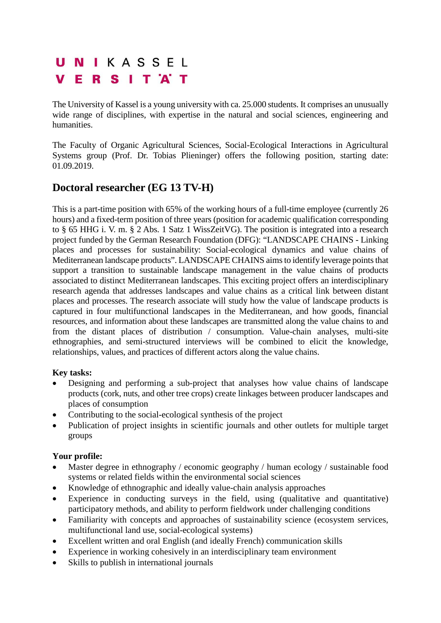# UNIKASSEL **VERSITAT**

The University of Kassel is a young university with ca. 25.000 students. It comprises an unusually wide range of disciplines, with expertise in the natural and social sciences, engineering and humanities.

The Faculty of Organic Agricultural Sciences, Social-Ecological Interactions in Agricultural Systems group (Prof. Dr. Tobias Plieninger) offers the following position, starting date: 01.09.2019.

# **Doctoral researcher (EG 13 TV-H)**

This is a part-time position with 65% of the working hours of a full-time employee (currently 26 hours) and a fixed-term position of three years (position for academic qualification corresponding to § 65 HHG i. V. m. § 2 Abs. 1 Satz 1 WissZeitVG). The position is integrated into a research project funded by the German Research Foundation (DFG): "LANDSCAPE CHAINS - Linking places and processes for sustainability: Social-ecological dynamics and value chains of Mediterranean landscape products". LANDSCAPE CHAINS aims to identify leverage points that support a transition to sustainable landscape management in the value chains of products associated to distinct Mediterranean landscapes. This exciting project offers an interdisciplinary research agenda that addresses landscapes and value chains as a critical link between distant places and processes. The research associate will study how the value of landscape products is captured in four multifunctional landscapes in the Mediterranean, and how goods, financial resources, and information about these landscapes are transmitted along the value chains to and from the distant places of distribution / consumption. Value-chain analyses, multi-site ethnographies, and semi-structured interviews will be combined to elicit the knowledge, relationships, values, and practices of different actors along the value chains.

### **Key tasks:**

- Designing and performing a sub-project that analyses how value chains of landscape products (cork, nuts, and other tree crops) create linkages between producer landscapes and places of consumption
- Contributing to the social-ecological synthesis of the project
- Publication of project insights in scientific journals and other outlets for multiple target groups

# **Your profile:**

- Master degree in ethnography / economic geography / human ecology / sustainable food systems or related fields within the environmental social sciences
- Knowledge of ethnographic and ideally value-chain analysis approaches
- Experience in conducting surveys in the field, using (qualitative and quantitative) participatory methods, and ability to perform fieldwork under challenging conditions
- Familiarity with concepts and approaches of sustainability science (ecosystem services, multifunctional land use, social-ecological systems)
- Excellent written and oral English (and ideally French) communication skills
- Experience in working cohesively in an interdisciplinary team environment
- Skills to publish in international journals